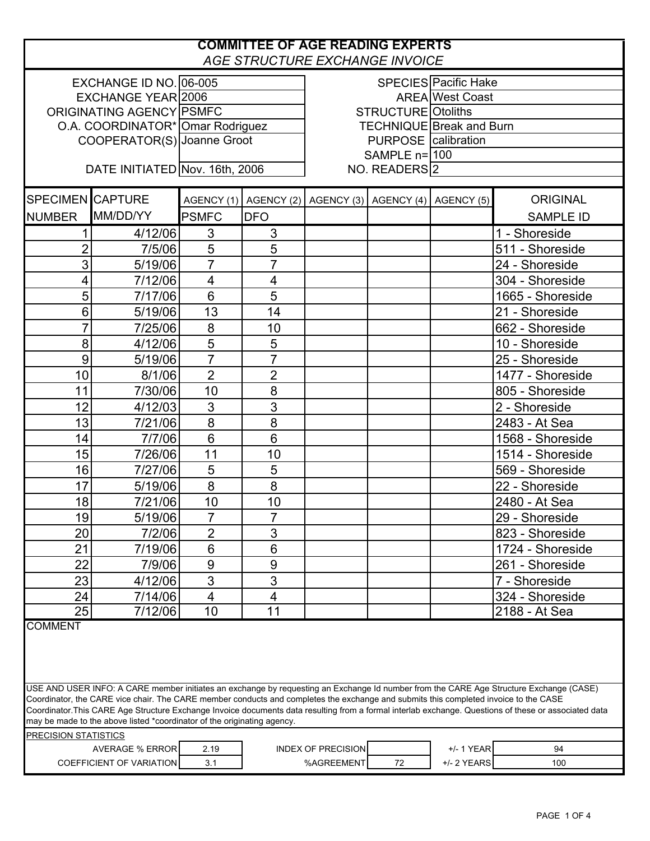## **COMMITTEE OF AGE READING EXPERTS** *AGE STRUCTURE EXCHANGE INVOICE* EXCHANGE ID NO. 06-005 **EXCHANGE ID NO.** 06-005 EXCHANGE YEAR|2006 | AREA ORIGINATING AGENCY PSMFC STRUCTURE O.A. COORDINATOR\* Omar Rodriguez | TECHNIQUE COOPERATOR(S)|Joanne Groot | PURPOSE SAMPLE n= 100 DATE INITIATED Nov. 16th, 2006 SPECIMEN CAPTURE  $A \cup A$ GENCY (1) AGENCY (2) AGENCY (3) AGENCY (4) AGENCY (5)  $A \cup A$ NUMBER MM/DD/YY PSMFC DFO | | | | | SAMPLE ID 1 4/12/06 3 3 3 3 2 1 - 1 - Shoreside 2 7/5/06 5 5 511 - Shoreside 3 5/19/06 7 7 24 - Shoreside 4 7/12/06 4 4 304 - Shoreside 5 7/17/06 6 5 1665 - Shoreside 6 5/19/06 13 14 21 - Shoreside 7 7/25/06 8 10 1 10 1 662 - Shoreside 8 4/12/06 5 5 1 10 - Shoreside 9 5/19/06 7 7 7 25 - Shoreside 10 8/1/06 2 2 1477 - Shoreside 11 7/30/06 10 8 805 - Shoreside 12 4/12/03 3 3 3 2 2 - Shoreside 13 7/21/06 8 8 8 9 8 9 2483 - At Sea 14 7/7/06 6 6 6 1 6 1 1568 - Shoreside 15 7/26/06 11 10 1 10 1 1514 - Shoreside 16 7/27/06 5 5 569 - Shoreside 17 5/19/06 8 8 22 - Shoreside 18 7/21/06 10 10 2480 - At Sea 19 5/19/06 7 7 29 - Shoreside 20 7/2/06 2 3 9 21 7/19/06 6 6 6 1 22 7/9/06 9 9 261 - Shoreside 23 4/12/06 3 3 3 7 - Shoreside 24 7/14/06 4 4 4 4 324 - Shoreside 25 7/12/06 10 11 1 1 2188 - At Sea COMMENT PRECISION STATISTICS AVERAGE % ERROR 2.19 | INDEX OF PRECISION | +/-1 YEAR 94 COEFFICIENT OF VARIATION 3.1 %AGREEMENT 72 +/- 2 YEARS 100 USE AND USER INFO: A CARE member initiates an exchange by requesting an Exchange Id number from the CARE Age Structure Exchange (CASE) Coordinator, the CARE vice chair. The CARE member conducts and completes the exchange and submits this completed invoice to the CASE Coordinator.This CARE Age Structure Exchange Invoice documents data resulting from a formal interlab exchange. Questions of these or associated data may be made to the above listed \*coordinator of the originating agency. SPECIES Pacific Hake AREA West Coast NO. READERS<sup>2</sup> **STRUCTURE** Otoliths **TECHNIQUE Break and Burn** PURPOSE calibration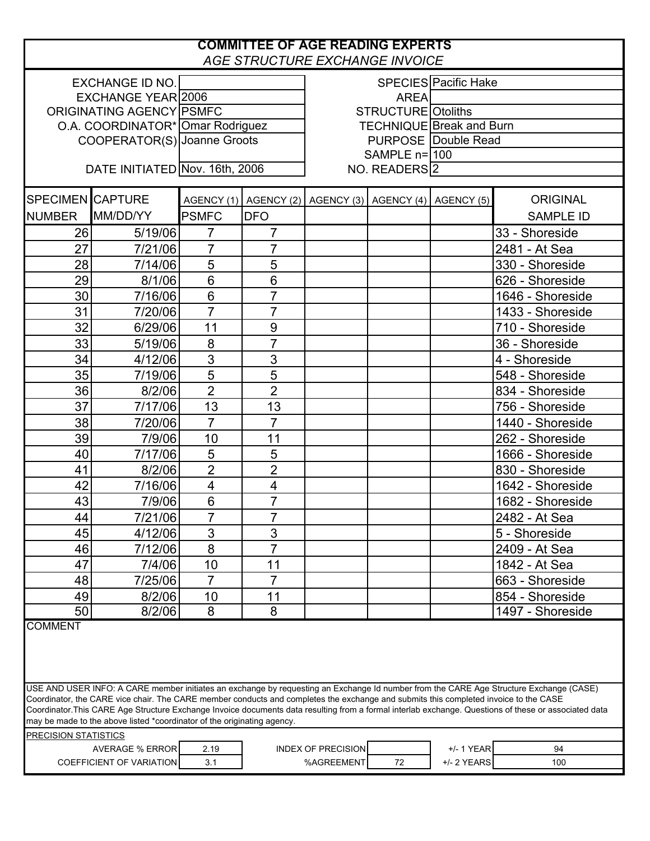## **COMMITTEE OF AGE READING EXPERTS** *AGE STRUCTURE EXCHANGE INVOICE*

| SPECIES Pacific Hake<br><b>EXCHANGE ID NO.</b><br><b>EXCHANGE YEAR 2006</b><br><b>AREA</b><br>STRUCTURE Otoliths<br>ORIGINATING AGENCY PSMFC<br><b>TECHNIQUE Break and Burn</b><br>O.A. COORDINATOR* Omar Rodriguez<br><b>PURPOSE Double Read</b><br>COOPERATOR(S) Joanne Groots<br>$SAMPLE$ n= $100$<br>DATE INITIATED Nov. 16th, 2006<br>NO. READERS <sup>2</sup><br>SPECIMEN CAPTURE<br><b>ORIGINAL</b><br>AGENCY (1) AGENCY (2) AGENCY (3) AGENCY (4) AGENCY (5)<br>MM/DD/YY<br><b>NUMBER</b><br><b>PSMFC</b><br><b>DFO</b><br><b>SAMPLE ID</b><br>26<br>5/19/06<br>$\overline{7}$<br>$\overline{7}$<br>33 - Shoreside<br>27<br>$\overline{7}$<br>$\overline{7}$<br>7/21/06<br>2481 - At Sea<br>5<br>5<br>28<br>330 - Shoreside<br>7/14/06<br>6<br>$6\phantom{1}6$<br>29<br>8/1/06<br>626 - Shoreside<br>6<br>$\overline{7}$<br>30<br>1646 - Shoreside<br>7/16/06<br>$\overline{7}$<br>$\overline{7}$<br>31<br>7/20/06<br>1433 - Shoreside<br>32<br>11<br>9<br>710 - Shoreside<br>6/29/06<br>$\overline{7}$<br>8<br>33<br>5/19/06<br>36 - Shoreside<br>3<br>34<br>3<br>4/12/06<br>4 - Shoreside<br>5<br>35<br>5<br>7/19/06<br>548 - Shoreside<br>$\overline{2}$<br>$\overline{2}$<br>36<br>8/2/06<br>834 - Shoreside<br>37<br>7/17/06<br>13<br>13<br>756 - Shoreside<br>$\overline{7}$<br>$\overline{7}$<br>38<br>7/20/06<br>1440 - Shoreside<br>39<br>11<br>7/9/06<br>10<br>262 - Shoreside<br>$\overline{5}$<br>5<br>40<br>7/17/06<br>1666 - Shoreside<br>$\overline{2}$<br>$\overline{2}$<br>8/2/06<br>830 - Shoreside<br>41<br>42<br>$\overline{\mathbf{4}}$<br>4<br>7/16/06<br>1642 - Shoreside<br>$\overline{7}$<br>6<br>43<br>7/9/06<br>1682 - Shoreside<br>$\overline{7}$<br>$\overline{7}$<br>44<br>7/21/06<br>2482 - At Sea<br>3<br>3<br>45<br>4/12/06<br>5 - Shoreside<br>46<br>7/12/06<br>8<br>7<br>2409 - At Sea<br>47<br>7/4/06<br>10<br>1842 - At Sea<br>11<br>$\overline{7}$<br>7<br>7/25/06<br>48<br>663 - Shoreside<br>8/2/06<br>49<br>10<br>11<br>854 - Shoreside<br>8<br>8<br>50<br>8/2/06<br>1497 - Shoreside<br><b>COMMENT</b><br>USE AND USER INFO: A CARE member initiates an exchange by requesting an Exchange Id number from the CARE Age Structure Exchange (CASE)<br>Coordinator, the CARE vice chair. The CARE member conducts and completes the exchange and submits this completed invoice to the CASE<br>Coordinator.This CARE Age Structure Exchange Invoice documents data resulting from a formal interlab exchange. Questions of these or associated data<br>may be made to the above listed *coordinator of the originating agency.<br>PRECISION STATISTICS<br>+/- 1 YEAR<br><b>AVERAGE % ERROR</b><br><b>INDEX OF PRECISION</b><br>94<br>2.19<br>+/- 2 YEARS<br><b>COEFFICIENT OF VARIATION</b><br>%AGREEMENT<br>$72\,$<br>3.1<br>100 |  |  |  |  |  |  |  |  |  |
|----------------------------------------------------------------------------------------------------------------------------------------------------------------------------------------------------------------------------------------------------------------------------------------------------------------------------------------------------------------------------------------------------------------------------------------------------------------------------------------------------------------------------------------------------------------------------------------------------------------------------------------------------------------------------------------------------------------------------------------------------------------------------------------------------------------------------------------------------------------------------------------------------------------------------------------------------------------------------------------------------------------------------------------------------------------------------------------------------------------------------------------------------------------------------------------------------------------------------------------------------------------------------------------------------------------------------------------------------------------------------------------------------------------------------------------------------------------------------------------------------------------------------------------------------------------------------------------------------------------------------------------------------------------------------------------------------------------------------------------------------------------------------------------------------------------------------------------------------------------------------------------------------------------------------------------------------------------------------------------------------------------------------------------------------------------------------------------------------------------------------------------------------------------------------------------------------------------------------------------------------------------------------------------------------------------------------------------------------------------------------------------------------------------------------------------------------------------------------------------------------------------------------------------------------------------------------------------------------------------------------------------------------------------------------------------------------------------------------------------------------------------------------------|--|--|--|--|--|--|--|--|--|
|                                                                                                                                                                                                                                                                                                                                                                                                                                                                                                                                                                                                                                                                                                                                                                                                                                                                                                                                                                                                                                                                                                                                                                                                                                                                                                                                                                                                                                                                                                                                                                                                                                                                                                                                                                                                                                                                                                                                                                                                                                                                                                                                                                                                                                                                                                                                                                                                                                                                                                                                                                                                                                                                                                                                                                                  |  |  |  |  |  |  |  |  |  |
|                                                                                                                                                                                                                                                                                                                                                                                                                                                                                                                                                                                                                                                                                                                                                                                                                                                                                                                                                                                                                                                                                                                                                                                                                                                                                                                                                                                                                                                                                                                                                                                                                                                                                                                                                                                                                                                                                                                                                                                                                                                                                                                                                                                                                                                                                                                                                                                                                                                                                                                                                                                                                                                                                                                                                                                  |  |  |  |  |  |  |  |  |  |
|                                                                                                                                                                                                                                                                                                                                                                                                                                                                                                                                                                                                                                                                                                                                                                                                                                                                                                                                                                                                                                                                                                                                                                                                                                                                                                                                                                                                                                                                                                                                                                                                                                                                                                                                                                                                                                                                                                                                                                                                                                                                                                                                                                                                                                                                                                                                                                                                                                                                                                                                                                                                                                                                                                                                                                                  |  |  |  |  |  |  |  |  |  |
|                                                                                                                                                                                                                                                                                                                                                                                                                                                                                                                                                                                                                                                                                                                                                                                                                                                                                                                                                                                                                                                                                                                                                                                                                                                                                                                                                                                                                                                                                                                                                                                                                                                                                                                                                                                                                                                                                                                                                                                                                                                                                                                                                                                                                                                                                                                                                                                                                                                                                                                                                                                                                                                                                                                                                                                  |  |  |  |  |  |  |  |  |  |
|                                                                                                                                                                                                                                                                                                                                                                                                                                                                                                                                                                                                                                                                                                                                                                                                                                                                                                                                                                                                                                                                                                                                                                                                                                                                                                                                                                                                                                                                                                                                                                                                                                                                                                                                                                                                                                                                                                                                                                                                                                                                                                                                                                                                                                                                                                                                                                                                                                                                                                                                                                                                                                                                                                                                                                                  |  |  |  |  |  |  |  |  |  |
|                                                                                                                                                                                                                                                                                                                                                                                                                                                                                                                                                                                                                                                                                                                                                                                                                                                                                                                                                                                                                                                                                                                                                                                                                                                                                                                                                                                                                                                                                                                                                                                                                                                                                                                                                                                                                                                                                                                                                                                                                                                                                                                                                                                                                                                                                                                                                                                                                                                                                                                                                                                                                                                                                                                                                                                  |  |  |  |  |  |  |  |  |  |
|                                                                                                                                                                                                                                                                                                                                                                                                                                                                                                                                                                                                                                                                                                                                                                                                                                                                                                                                                                                                                                                                                                                                                                                                                                                                                                                                                                                                                                                                                                                                                                                                                                                                                                                                                                                                                                                                                                                                                                                                                                                                                                                                                                                                                                                                                                                                                                                                                                                                                                                                                                                                                                                                                                                                                                                  |  |  |  |  |  |  |  |  |  |
|                                                                                                                                                                                                                                                                                                                                                                                                                                                                                                                                                                                                                                                                                                                                                                                                                                                                                                                                                                                                                                                                                                                                                                                                                                                                                                                                                                                                                                                                                                                                                                                                                                                                                                                                                                                                                                                                                                                                                                                                                                                                                                                                                                                                                                                                                                                                                                                                                                                                                                                                                                                                                                                                                                                                                                                  |  |  |  |  |  |  |  |  |  |
|                                                                                                                                                                                                                                                                                                                                                                                                                                                                                                                                                                                                                                                                                                                                                                                                                                                                                                                                                                                                                                                                                                                                                                                                                                                                                                                                                                                                                                                                                                                                                                                                                                                                                                                                                                                                                                                                                                                                                                                                                                                                                                                                                                                                                                                                                                                                                                                                                                                                                                                                                                                                                                                                                                                                                                                  |  |  |  |  |  |  |  |  |  |
|                                                                                                                                                                                                                                                                                                                                                                                                                                                                                                                                                                                                                                                                                                                                                                                                                                                                                                                                                                                                                                                                                                                                                                                                                                                                                                                                                                                                                                                                                                                                                                                                                                                                                                                                                                                                                                                                                                                                                                                                                                                                                                                                                                                                                                                                                                                                                                                                                                                                                                                                                                                                                                                                                                                                                                                  |  |  |  |  |  |  |  |  |  |
|                                                                                                                                                                                                                                                                                                                                                                                                                                                                                                                                                                                                                                                                                                                                                                                                                                                                                                                                                                                                                                                                                                                                                                                                                                                                                                                                                                                                                                                                                                                                                                                                                                                                                                                                                                                                                                                                                                                                                                                                                                                                                                                                                                                                                                                                                                                                                                                                                                                                                                                                                                                                                                                                                                                                                                                  |  |  |  |  |  |  |  |  |  |
|                                                                                                                                                                                                                                                                                                                                                                                                                                                                                                                                                                                                                                                                                                                                                                                                                                                                                                                                                                                                                                                                                                                                                                                                                                                                                                                                                                                                                                                                                                                                                                                                                                                                                                                                                                                                                                                                                                                                                                                                                                                                                                                                                                                                                                                                                                                                                                                                                                                                                                                                                                                                                                                                                                                                                                                  |  |  |  |  |  |  |  |  |  |
|                                                                                                                                                                                                                                                                                                                                                                                                                                                                                                                                                                                                                                                                                                                                                                                                                                                                                                                                                                                                                                                                                                                                                                                                                                                                                                                                                                                                                                                                                                                                                                                                                                                                                                                                                                                                                                                                                                                                                                                                                                                                                                                                                                                                                                                                                                                                                                                                                                                                                                                                                                                                                                                                                                                                                                                  |  |  |  |  |  |  |  |  |  |
|                                                                                                                                                                                                                                                                                                                                                                                                                                                                                                                                                                                                                                                                                                                                                                                                                                                                                                                                                                                                                                                                                                                                                                                                                                                                                                                                                                                                                                                                                                                                                                                                                                                                                                                                                                                                                                                                                                                                                                                                                                                                                                                                                                                                                                                                                                                                                                                                                                                                                                                                                                                                                                                                                                                                                                                  |  |  |  |  |  |  |  |  |  |
|                                                                                                                                                                                                                                                                                                                                                                                                                                                                                                                                                                                                                                                                                                                                                                                                                                                                                                                                                                                                                                                                                                                                                                                                                                                                                                                                                                                                                                                                                                                                                                                                                                                                                                                                                                                                                                                                                                                                                                                                                                                                                                                                                                                                                                                                                                                                                                                                                                                                                                                                                                                                                                                                                                                                                                                  |  |  |  |  |  |  |  |  |  |
|                                                                                                                                                                                                                                                                                                                                                                                                                                                                                                                                                                                                                                                                                                                                                                                                                                                                                                                                                                                                                                                                                                                                                                                                                                                                                                                                                                                                                                                                                                                                                                                                                                                                                                                                                                                                                                                                                                                                                                                                                                                                                                                                                                                                                                                                                                                                                                                                                                                                                                                                                                                                                                                                                                                                                                                  |  |  |  |  |  |  |  |  |  |
|                                                                                                                                                                                                                                                                                                                                                                                                                                                                                                                                                                                                                                                                                                                                                                                                                                                                                                                                                                                                                                                                                                                                                                                                                                                                                                                                                                                                                                                                                                                                                                                                                                                                                                                                                                                                                                                                                                                                                                                                                                                                                                                                                                                                                                                                                                                                                                                                                                                                                                                                                                                                                                                                                                                                                                                  |  |  |  |  |  |  |  |  |  |
|                                                                                                                                                                                                                                                                                                                                                                                                                                                                                                                                                                                                                                                                                                                                                                                                                                                                                                                                                                                                                                                                                                                                                                                                                                                                                                                                                                                                                                                                                                                                                                                                                                                                                                                                                                                                                                                                                                                                                                                                                                                                                                                                                                                                                                                                                                                                                                                                                                                                                                                                                                                                                                                                                                                                                                                  |  |  |  |  |  |  |  |  |  |
|                                                                                                                                                                                                                                                                                                                                                                                                                                                                                                                                                                                                                                                                                                                                                                                                                                                                                                                                                                                                                                                                                                                                                                                                                                                                                                                                                                                                                                                                                                                                                                                                                                                                                                                                                                                                                                                                                                                                                                                                                                                                                                                                                                                                                                                                                                                                                                                                                                                                                                                                                                                                                                                                                                                                                                                  |  |  |  |  |  |  |  |  |  |
|                                                                                                                                                                                                                                                                                                                                                                                                                                                                                                                                                                                                                                                                                                                                                                                                                                                                                                                                                                                                                                                                                                                                                                                                                                                                                                                                                                                                                                                                                                                                                                                                                                                                                                                                                                                                                                                                                                                                                                                                                                                                                                                                                                                                                                                                                                                                                                                                                                                                                                                                                                                                                                                                                                                                                                                  |  |  |  |  |  |  |  |  |  |
|                                                                                                                                                                                                                                                                                                                                                                                                                                                                                                                                                                                                                                                                                                                                                                                                                                                                                                                                                                                                                                                                                                                                                                                                                                                                                                                                                                                                                                                                                                                                                                                                                                                                                                                                                                                                                                                                                                                                                                                                                                                                                                                                                                                                                                                                                                                                                                                                                                                                                                                                                                                                                                                                                                                                                                                  |  |  |  |  |  |  |  |  |  |
|                                                                                                                                                                                                                                                                                                                                                                                                                                                                                                                                                                                                                                                                                                                                                                                                                                                                                                                                                                                                                                                                                                                                                                                                                                                                                                                                                                                                                                                                                                                                                                                                                                                                                                                                                                                                                                                                                                                                                                                                                                                                                                                                                                                                                                                                                                                                                                                                                                                                                                                                                                                                                                                                                                                                                                                  |  |  |  |  |  |  |  |  |  |
|                                                                                                                                                                                                                                                                                                                                                                                                                                                                                                                                                                                                                                                                                                                                                                                                                                                                                                                                                                                                                                                                                                                                                                                                                                                                                                                                                                                                                                                                                                                                                                                                                                                                                                                                                                                                                                                                                                                                                                                                                                                                                                                                                                                                                                                                                                                                                                                                                                                                                                                                                                                                                                                                                                                                                                                  |  |  |  |  |  |  |  |  |  |
|                                                                                                                                                                                                                                                                                                                                                                                                                                                                                                                                                                                                                                                                                                                                                                                                                                                                                                                                                                                                                                                                                                                                                                                                                                                                                                                                                                                                                                                                                                                                                                                                                                                                                                                                                                                                                                                                                                                                                                                                                                                                                                                                                                                                                                                                                                                                                                                                                                                                                                                                                                                                                                                                                                                                                                                  |  |  |  |  |  |  |  |  |  |
|                                                                                                                                                                                                                                                                                                                                                                                                                                                                                                                                                                                                                                                                                                                                                                                                                                                                                                                                                                                                                                                                                                                                                                                                                                                                                                                                                                                                                                                                                                                                                                                                                                                                                                                                                                                                                                                                                                                                                                                                                                                                                                                                                                                                                                                                                                                                                                                                                                                                                                                                                                                                                                                                                                                                                                                  |  |  |  |  |  |  |  |  |  |
|                                                                                                                                                                                                                                                                                                                                                                                                                                                                                                                                                                                                                                                                                                                                                                                                                                                                                                                                                                                                                                                                                                                                                                                                                                                                                                                                                                                                                                                                                                                                                                                                                                                                                                                                                                                                                                                                                                                                                                                                                                                                                                                                                                                                                                                                                                                                                                                                                                                                                                                                                                                                                                                                                                                                                                                  |  |  |  |  |  |  |  |  |  |
|                                                                                                                                                                                                                                                                                                                                                                                                                                                                                                                                                                                                                                                                                                                                                                                                                                                                                                                                                                                                                                                                                                                                                                                                                                                                                                                                                                                                                                                                                                                                                                                                                                                                                                                                                                                                                                                                                                                                                                                                                                                                                                                                                                                                                                                                                                                                                                                                                                                                                                                                                                                                                                                                                                                                                                                  |  |  |  |  |  |  |  |  |  |
|                                                                                                                                                                                                                                                                                                                                                                                                                                                                                                                                                                                                                                                                                                                                                                                                                                                                                                                                                                                                                                                                                                                                                                                                                                                                                                                                                                                                                                                                                                                                                                                                                                                                                                                                                                                                                                                                                                                                                                                                                                                                                                                                                                                                                                                                                                                                                                                                                                                                                                                                                                                                                                                                                                                                                                                  |  |  |  |  |  |  |  |  |  |
|                                                                                                                                                                                                                                                                                                                                                                                                                                                                                                                                                                                                                                                                                                                                                                                                                                                                                                                                                                                                                                                                                                                                                                                                                                                                                                                                                                                                                                                                                                                                                                                                                                                                                                                                                                                                                                                                                                                                                                                                                                                                                                                                                                                                                                                                                                                                                                                                                                                                                                                                                                                                                                                                                                                                                                                  |  |  |  |  |  |  |  |  |  |
|                                                                                                                                                                                                                                                                                                                                                                                                                                                                                                                                                                                                                                                                                                                                                                                                                                                                                                                                                                                                                                                                                                                                                                                                                                                                                                                                                                                                                                                                                                                                                                                                                                                                                                                                                                                                                                                                                                                                                                                                                                                                                                                                                                                                                                                                                                                                                                                                                                                                                                                                                                                                                                                                                                                                                                                  |  |  |  |  |  |  |  |  |  |
|                                                                                                                                                                                                                                                                                                                                                                                                                                                                                                                                                                                                                                                                                                                                                                                                                                                                                                                                                                                                                                                                                                                                                                                                                                                                                                                                                                                                                                                                                                                                                                                                                                                                                                                                                                                                                                                                                                                                                                                                                                                                                                                                                                                                                                                                                                                                                                                                                                                                                                                                                                                                                                                                                                                                                                                  |  |  |  |  |  |  |  |  |  |
|                                                                                                                                                                                                                                                                                                                                                                                                                                                                                                                                                                                                                                                                                                                                                                                                                                                                                                                                                                                                                                                                                                                                                                                                                                                                                                                                                                                                                                                                                                                                                                                                                                                                                                                                                                                                                                                                                                                                                                                                                                                                                                                                                                                                                                                                                                                                                                                                                                                                                                                                                                                                                                                                                                                                                                                  |  |  |  |  |  |  |  |  |  |
|                                                                                                                                                                                                                                                                                                                                                                                                                                                                                                                                                                                                                                                                                                                                                                                                                                                                                                                                                                                                                                                                                                                                                                                                                                                                                                                                                                                                                                                                                                                                                                                                                                                                                                                                                                                                                                                                                                                                                                                                                                                                                                                                                                                                                                                                                                                                                                                                                                                                                                                                                                                                                                                                                                                                                                                  |  |  |  |  |  |  |  |  |  |
|                                                                                                                                                                                                                                                                                                                                                                                                                                                                                                                                                                                                                                                                                                                                                                                                                                                                                                                                                                                                                                                                                                                                                                                                                                                                                                                                                                                                                                                                                                                                                                                                                                                                                                                                                                                                                                                                                                                                                                                                                                                                                                                                                                                                                                                                                                                                                                                                                                                                                                                                                                                                                                                                                                                                                                                  |  |  |  |  |  |  |  |  |  |
|                                                                                                                                                                                                                                                                                                                                                                                                                                                                                                                                                                                                                                                                                                                                                                                                                                                                                                                                                                                                                                                                                                                                                                                                                                                                                                                                                                                                                                                                                                                                                                                                                                                                                                                                                                                                                                                                                                                                                                                                                                                                                                                                                                                                                                                                                                                                                                                                                                                                                                                                                                                                                                                                                                                                                                                  |  |  |  |  |  |  |  |  |  |
|                                                                                                                                                                                                                                                                                                                                                                                                                                                                                                                                                                                                                                                                                                                                                                                                                                                                                                                                                                                                                                                                                                                                                                                                                                                                                                                                                                                                                                                                                                                                                                                                                                                                                                                                                                                                                                                                                                                                                                                                                                                                                                                                                                                                                                                                                                                                                                                                                                                                                                                                                                                                                                                                                                                                                                                  |  |  |  |  |  |  |  |  |  |
|                                                                                                                                                                                                                                                                                                                                                                                                                                                                                                                                                                                                                                                                                                                                                                                                                                                                                                                                                                                                                                                                                                                                                                                                                                                                                                                                                                                                                                                                                                                                                                                                                                                                                                                                                                                                                                                                                                                                                                                                                                                                                                                                                                                                                                                                                                                                                                                                                                                                                                                                                                                                                                                                                                                                                                                  |  |  |  |  |  |  |  |  |  |
|                                                                                                                                                                                                                                                                                                                                                                                                                                                                                                                                                                                                                                                                                                                                                                                                                                                                                                                                                                                                                                                                                                                                                                                                                                                                                                                                                                                                                                                                                                                                                                                                                                                                                                                                                                                                                                                                                                                                                                                                                                                                                                                                                                                                                                                                                                                                                                                                                                                                                                                                                                                                                                                                                                                                                                                  |  |  |  |  |  |  |  |  |  |
|                                                                                                                                                                                                                                                                                                                                                                                                                                                                                                                                                                                                                                                                                                                                                                                                                                                                                                                                                                                                                                                                                                                                                                                                                                                                                                                                                                                                                                                                                                                                                                                                                                                                                                                                                                                                                                                                                                                                                                                                                                                                                                                                                                                                                                                                                                                                                                                                                                                                                                                                                                                                                                                                                                                                                                                  |  |  |  |  |  |  |  |  |  |
|                                                                                                                                                                                                                                                                                                                                                                                                                                                                                                                                                                                                                                                                                                                                                                                                                                                                                                                                                                                                                                                                                                                                                                                                                                                                                                                                                                                                                                                                                                                                                                                                                                                                                                                                                                                                                                                                                                                                                                                                                                                                                                                                                                                                                                                                                                                                                                                                                                                                                                                                                                                                                                                                                                                                                                                  |  |  |  |  |  |  |  |  |  |
|                                                                                                                                                                                                                                                                                                                                                                                                                                                                                                                                                                                                                                                                                                                                                                                                                                                                                                                                                                                                                                                                                                                                                                                                                                                                                                                                                                                                                                                                                                                                                                                                                                                                                                                                                                                                                                                                                                                                                                                                                                                                                                                                                                                                                                                                                                                                                                                                                                                                                                                                                                                                                                                                                                                                                                                  |  |  |  |  |  |  |  |  |  |
|                                                                                                                                                                                                                                                                                                                                                                                                                                                                                                                                                                                                                                                                                                                                                                                                                                                                                                                                                                                                                                                                                                                                                                                                                                                                                                                                                                                                                                                                                                                                                                                                                                                                                                                                                                                                                                                                                                                                                                                                                                                                                                                                                                                                                                                                                                                                                                                                                                                                                                                                                                                                                                                                                                                                                                                  |  |  |  |  |  |  |  |  |  |
|                                                                                                                                                                                                                                                                                                                                                                                                                                                                                                                                                                                                                                                                                                                                                                                                                                                                                                                                                                                                                                                                                                                                                                                                                                                                                                                                                                                                                                                                                                                                                                                                                                                                                                                                                                                                                                                                                                                                                                                                                                                                                                                                                                                                                                                                                                                                                                                                                                                                                                                                                                                                                                                                                                                                                                                  |  |  |  |  |  |  |  |  |  |
|                                                                                                                                                                                                                                                                                                                                                                                                                                                                                                                                                                                                                                                                                                                                                                                                                                                                                                                                                                                                                                                                                                                                                                                                                                                                                                                                                                                                                                                                                                                                                                                                                                                                                                                                                                                                                                                                                                                                                                                                                                                                                                                                                                                                                                                                                                                                                                                                                                                                                                                                                                                                                                                                                                                                                                                  |  |  |  |  |  |  |  |  |  |
|                                                                                                                                                                                                                                                                                                                                                                                                                                                                                                                                                                                                                                                                                                                                                                                                                                                                                                                                                                                                                                                                                                                                                                                                                                                                                                                                                                                                                                                                                                                                                                                                                                                                                                                                                                                                                                                                                                                                                                                                                                                                                                                                                                                                                                                                                                                                                                                                                                                                                                                                                                                                                                                                                                                                                                                  |  |  |  |  |  |  |  |  |  |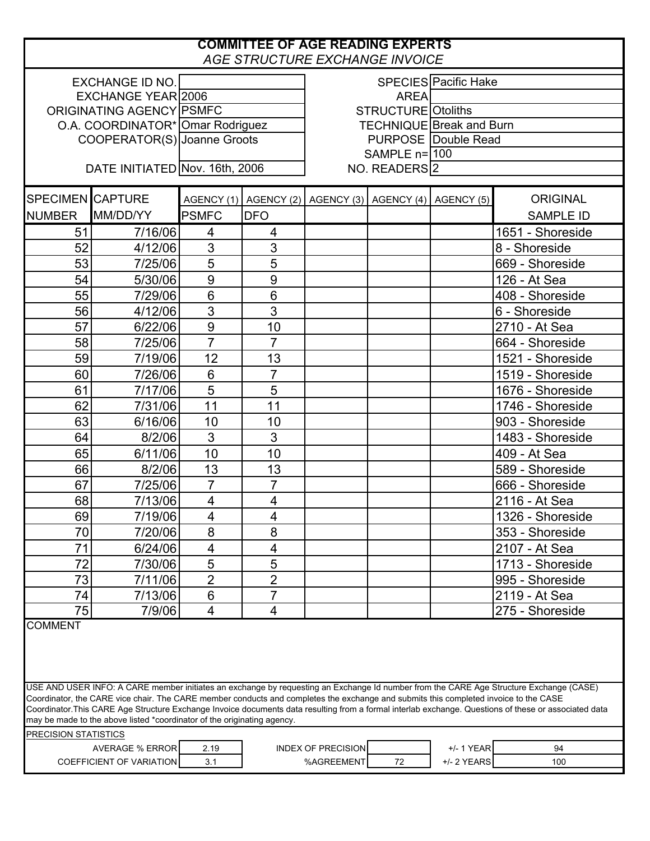## **COMMITTEE OF AGE READING EXPERTS** *AGE STRUCTURE EXCHANGE INVOICE*

| <u> 87. NO 87. ST NO. 200 11. NO 88. ST NO. 88. ST NO. 89. ST NO. 89. ST NO. 89. ST NO. 89. ST NO. 89. ST NO. 89</u> |                                                                                                                                      |                                  |                                                                |                                         |                |                            |                                                                                                                                                      |  |
|----------------------------------------------------------------------------------------------------------------------|--------------------------------------------------------------------------------------------------------------------------------------|----------------------------------|----------------------------------------------------------------|-----------------------------------------|----------------|----------------------------|------------------------------------------------------------------------------------------------------------------------------------------------------|--|
| SPECIES Pacific Hake<br><b>EXCHANGE ID NO.</b>                                                                       |                                                                                                                                      |                                  |                                                                |                                         |                |                            |                                                                                                                                                      |  |
| EXCHANGE YEAR 2006                                                                                                   |                                                                                                                                      |                                  |                                                                | <b>AREA</b>                             |                |                            |                                                                                                                                                      |  |
| ORIGINATING AGENCY PSMFC                                                                                             |                                                                                                                                      |                                  |                                                                | STRUCTURE Otoliths                      |                |                            |                                                                                                                                                      |  |
|                                                                                                                      |                                                                                                                                      | O.A. COORDINATOR* Omar Rodriguez |                                                                | <b>TECHNIQUE Break and Burn</b>         |                |                            |                                                                                                                                                      |  |
|                                                                                                                      | COOPERATOR(S) Joanne Groots                                                                                                          |                                  |                                                                |                                         |                | <b>PURPOSE Double Read</b> |                                                                                                                                                      |  |
|                                                                                                                      |                                                                                                                                      |                                  |                                                                |                                         | SAMPLE $n=100$ |                            |                                                                                                                                                      |  |
|                                                                                                                      |                                                                                                                                      | DATE INITIATED Nov. 16th, 2006   |                                                                | NO. READERS <sup>2</sup>                |                |                            |                                                                                                                                                      |  |
|                                                                                                                      |                                                                                                                                      |                                  |                                                                |                                         |                |                            |                                                                                                                                                      |  |
| <b>SPECIMEN CAPTURE</b>                                                                                              |                                                                                                                                      |                                  | AGENCY (1)   AGENCY (2)   AGENCY (3)   AGENCY (4)   AGENCY (5) |                                         |                |                            | <b>ORIGINAL</b>                                                                                                                                      |  |
| <b>NUMBER</b>                                                                                                        | MM/DD/YY                                                                                                                             | <b>PSMFC</b>                     | <b>DFO</b>                                                     |                                         |                |                            | <b>SAMPLE ID</b>                                                                                                                                     |  |
| 51                                                                                                                   | 7/16/06                                                                                                                              | 4                                | 4                                                              |                                         |                |                            | 1651 - Shoreside                                                                                                                                     |  |
| 52                                                                                                                   | 4/12/06                                                                                                                              | 3                                | 3                                                              |                                         |                |                            | 8 - Shoreside                                                                                                                                        |  |
| 53                                                                                                                   | 7/25/06                                                                                                                              | 5                                | 5                                                              |                                         |                |                            | 669 - Shoreside                                                                                                                                      |  |
| 54                                                                                                                   | 5/30/06                                                                                                                              | 9                                | $\boldsymbol{9}$                                               |                                         |                |                            | 126 - At Sea                                                                                                                                         |  |
| 55                                                                                                                   | 7/29/06                                                                                                                              | $6\phantom{1}6$                  | $6\phantom{1}$                                                 |                                         |                |                            | 408 - Shoreside                                                                                                                                      |  |
| 56                                                                                                                   | 4/12/06                                                                                                                              | $\overline{3}$                   | 3                                                              |                                         |                |                            | 6 - Shoreside                                                                                                                                        |  |
| 57                                                                                                                   | 6/22/06                                                                                                                              | 9                                | 10                                                             |                                         |                |                            | 2710 - At Sea                                                                                                                                        |  |
| 58                                                                                                                   | 7/25/06                                                                                                                              | $\overline{7}$                   | $\overline{7}$                                                 |                                         |                |                            | 664 - Shoreside                                                                                                                                      |  |
| 59                                                                                                                   | 7/19/06                                                                                                                              | 12                               | 13                                                             |                                         |                |                            | 1521 - Shoreside                                                                                                                                     |  |
| 60                                                                                                                   | 7/26/06                                                                                                                              | $6\phantom{1}6$                  | $\overline{7}$                                                 |                                         |                |                            | 1519 - Shoreside                                                                                                                                     |  |
| 61                                                                                                                   | 7/17/06                                                                                                                              | $\overline{5}$                   | 5                                                              |                                         |                |                            | 1676 - Shoreside                                                                                                                                     |  |
| 62                                                                                                                   | 7/31/06                                                                                                                              | 11                               | 11                                                             |                                         |                |                            | 1746 - Shoreside                                                                                                                                     |  |
| 63                                                                                                                   | 6/16/06                                                                                                                              | 10                               | 10                                                             |                                         |                |                            | 903 - Shoreside                                                                                                                                      |  |
| 64                                                                                                                   | 8/2/06                                                                                                                               | 3                                | 3                                                              |                                         |                |                            | 1483 - Shoreside                                                                                                                                     |  |
| 65                                                                                                                   | 6/11/06                                                                                                                              | 10                               | 10                                                             |                                         |                |                            | 409 - At Sea                                                                                                                                         |  |
| 66                                                                                                                   | 8/2/06                                                                                                                               | 13                               | 13                                                             |                                         |                |                            | 589 - Shoreside                                                                                                                                      |  |
| 67                                                                                                                   | 7/25/06                                                                                                                              | $\overline{7}$                   | $\overline{7}$                                                 |                                         |                |                            | 666 - Shoreside                                                                                                                                      |  |
| 68                                                                                                                   | 7/13/06                                                                                                                              | 4                                | $\overline{\mathcal{A}}$                                       |                                         |                |                            | 2116 - At Sea                                                                                                                                        |  |
| 69                                                                                                                   | 7/19/06                                                                                                                              | 4                                | $\overline{\mathbf{4}}$                                        |                                         |                |                            | 1326 - Shoreside                                                                                                                                     |  |
| 70                                                                                                                   | 7/20/06                                                                                                                              | 8                                | 8                                                              |                                         |                |                            | 353 - Shoreside                                                                                                                                      |  |
| 71                                                                                                                   | 6/24/06                                                                                                                              | 4                                | 4                                                              |                                         |                |                            | 2107 - At Sea                                                                                                                                        |  |
| 72                                                                                                                   | 7/30/06                                                                                                                              | 5                                | 5                                                              |                                         |                |                            | 1713 - Shoreside                                                                                                                                     |  |
| 73                                                                                                                   | 7/11/06                                                                                                                              | $\overline{2}$                   | $\overline{2}$                                                 |                                         |                |                            | 995 - Shoreside                                                                                                                                      |  |
| 74                                                                                                                   | 7/13/06                                                                                                                              | $6\phantom{1}6$                  | $\overline{7}$                                                 |                                         |                |                            | 2119 - At Sea                                                                                                                                        |  |
| 75                                                                                                                   | 7/9/06                                                                                                                               | $\overline{\mathbf{4}}$          | 4                                                              |                                         |                |                            | 275 - Shoreside                                                                                                                                      |  |
| <b>COMMENT</b>                                                                                                       |                                                                                                                                      |                                  |                                                                |                                         |                |                            |                                                                                                                                                      |  |
|                                                                                                                      |                                                                                                                                      |                                  |                                                                |                                         |                |                            |                                                                                                                                                      |  |
|                                                                                                                      |                                                                                                                                      |                                  |                                                                |                                         |                |                            |                                                                                                                                                      |  |
|                                                                                                                      |                                                                                                                                      |                                  |                                                                |                                         |                |                            |                                                                                                                                                      |  |
|                                                                                                                      |                                                                                                                                      |                                  |                                                                |                                         |                |                            | USE AND USER INFO: A CARE member initiates an exchange by requesting an Exchange Id number from the CARE Age Structure Exchange (CASE)               |  |
|                                                                                                                      | Coordinator, the CARE vice chair. The CARE member conducts and completes the exchange and submits this completed invoice to the CASE |                                  |                                                                |                                         |                |                            | Coordinator.This CARE Age Structure Exchange Invoice documents data resulting from a formal interlab exchange. Questions of these or associated data |  |
|                                                                                                                      | may be made to the above listed *coordinator of the originating agency.                                                              |                                  |                                                                |                                         |                |                            |                                                                                                                                                      |  |
| PRECISION STATISTICS                                                                                                 |                                                                                                                                      |                                  |                                                                |                                         |                |                            |                                                                                                                                                      |  |
|                                                                                                                      | <b>AVERAGE % ERROR</b>                                                                                                               | 2.19<br>3.1                      |                                                                | <b>INDEX OF PRECISION</b><br>%AGREEMENT | 72             | +/- 1 YEAR<br>+/- 2 YEARS  | 94<br>100                                                                                                                                            |  |
| <b>COEFFICIENT OF VARIATION</b>                                                                                      |                                                                                                                                      |                                  |                                                                |                                         |                |                            |                                                                                                                                                      |  |